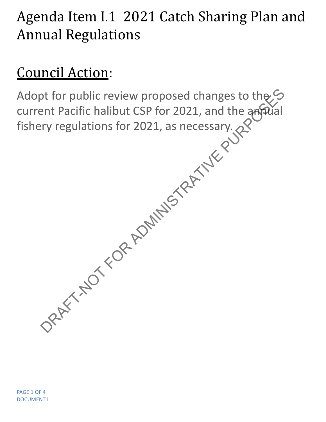## Agenda Item I.1 2021 Catch Sharing Plan and Annual Regulations

## Council Action:

Adopt for public review proposed changes to the S current Pacific halibut CSP for 2021, and the annual fishery regulations for 2021, as necessary. DRAFT-NOT PROPERTY ADDED AND RAFT-NOT PROPERTY AND RAFT-NOT PURPOSES OF A POINT AND RAFT-NOT RANDON PURPOSES OF A POINT AND RAFT-NOT RANDON PURPOSES OF A POINT AND RANDON PURPOSES OF A POINT AND RANDON PURPOSES OF A POINT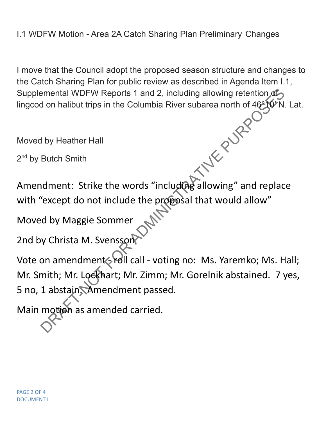I.1 WDFW Motion - Area 2A Catch Sharing Plan Preliminary Changes

I move that the Council adopt the proposed season structure and changes to the Catch Sharing Plan for public review as described in Agenda Item I.1, Supplemental WDFW Reports 1 and 2, including allowing retention of lingcod on halibut trips in the Columbia River subarea north of 46°10'N. Lat.<br>Moved by Heather Hall<br> $2^{nd}$  by Butch Smith

Moved by Heather Hall

2<sup>nd</sup> by Butch Smith

Amendment: Strike the words "including allowing" and replace with "except do not include the proposal that would allow"

Moved by Maggie Sommer

2nd by Christa M. Svensson

Vote on amendment - roll call - voting no: Ms. Yaremko; Ms. Hall; Mr. Smith; Mr. Lockhart; Mr. Zimm; Mr. Gorelnik abstained. 7 yes, 5 no, 1 abstain. Amendment passed. Examerable WDFW Reports 1 and 2, including allowing retention of<br>
d on halibut trips in the Columbia River subarea north of 46%(V).<br>
d by Heather Hall<br>
Butch Smith<br>
ddment: Strike the words "including" and replace<br>
"except

Main motion as amended carried.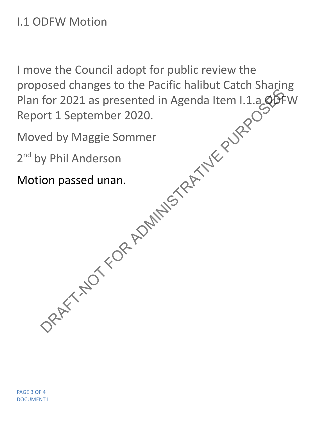## I.1 ODFW Motion

I move the Council adopt for public review the proposed changes to the Pacific halibut Catch Sharing Plan for 2021 as presented in Agenda Item I.1.a QDFW Report 1 September 2020. Brace changes to the Fashion hand a Item I.1.a goff for 2021 as presented in Agenda Item I.1.a goff<br>ort 1 September 2020.<br>ed by Maggie Sommer<br>y Phil Anderson<br>ion passed unan.<br> $\frac{1}{2}$ <br> $\frac{1}{2}$ <br> $\frac{1}{2}$ <br> $\frac{1}{2}$ <br> $\frac{1}{2$ 

Moved by Maggie Sommer

2<sup>nd</sup> by Phil Anderson

Motion passed unan.